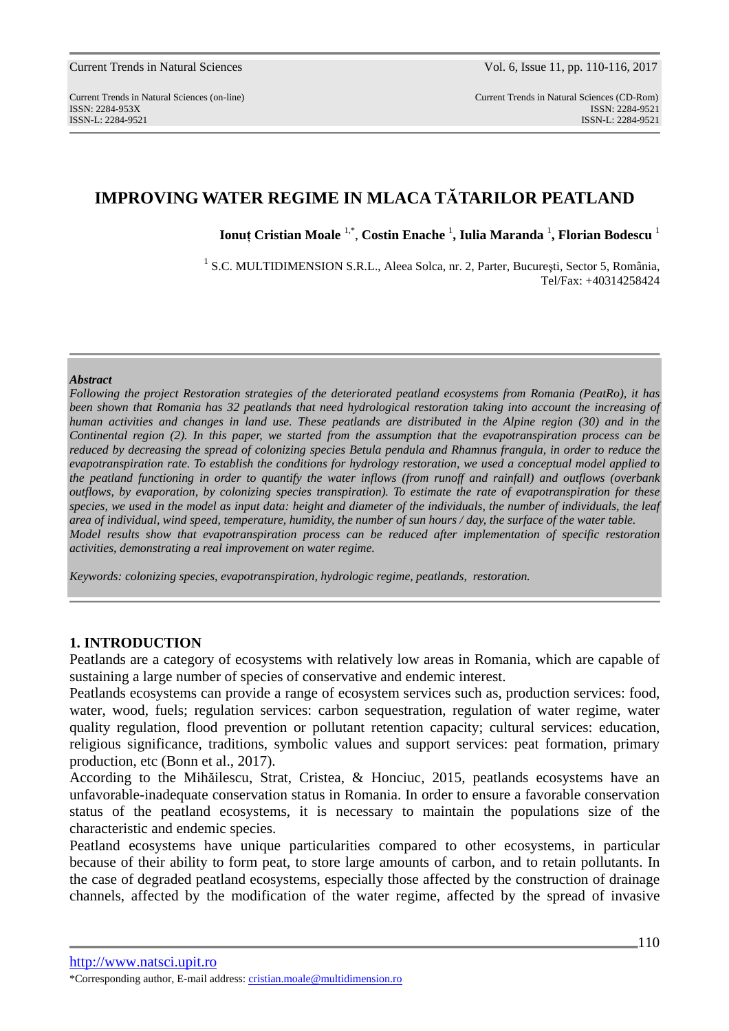# **IMPROVING WATER REGIME IN MLACA TĂTARILOR PEATLAND**

**Ionuţ Cristian Moale** 1,\* , **Costin Enache** <sup>1</sup> **, Iulia Maranda** <sup>1</sup> **, Florian Bodescu** <sup>1</sup>

<sup>1</sup> S.C. MULTIDIMENSION S.R.L., Aleea Solca, nr. 2, Parter, București, Sector 5, România, Tel/Fax: +40314258424

### *Abstract*

*Following the project Restoration strategies of the deteriorated peatland ecosystems from Romania (PeatRo), it has been shown that Romania has 32 peatlands that need hydrological restoration taking into account the increasing of human activities and changes in land use. These peatlands are distributed in the Alpine region (30) and in the Continental region (2). In this paper, we started from the assumption that the evapotranspiration process can be reduced by decreasing the spread of colonizing species Betula pendula and Rhamnus frangula, in order to reduce the evapotranspiration rate. To establish the conditions for hydrology restoration, we used a conceptual model applied to the peatland functioning in order to quantify the water inflows (from runoff and rainfall) and outflows (overbank outflows, by evaporation, by colonizing species transpiration). To estimate the rate of evapotranspiration for these species, we used in the model as input data: height and diameter of the individuals, the number of individuals, the leaf area of individual, wind speed, temperature, humidity, the number of sun hours / day, the surface of the water table. Model results show that evapotranspiration process can be reduced after implementation of specific restoration activities, demonstrating a real improvement on water regime.* 

*Keywords: colonizing species, evapotranspiration, hydrologic regime, peatlands, restoration.* 

### **1. INTRODUCTION**

Peatlands are a category of ecosystems with relatively low areas in Romania, which are capable of sustaining a large number of species of conservative and endemic interest.

Peatlands ecosystems can provide a range of ecosystem services such as, production services: food, water, wood, fuels; regulation services: carbon sequestration, regulation of water regime, water quality regulation, flood prevention or pollutant retention capacity; cultural services: education, religious significance, traditions, symbolic values and support services: peat formation, primary production, etc (Bonn et al., 2017).

According to the Mihăilescu, Strat, Cristea, & Honciuc, 2015, peatlands ecosystems have an unfavorable-inadequate conservation status in Romania. In order to ensure a favorable conservation status of the peatland ecosystems, it is necessary to maintain the populations size of the characteristic and endemic species.

Peatland ecosystems have unique particularities compared to other ecosystems, in particular because of their ability to form peat, to store large amounts of carbon, and to retain pollutants. In the case of degraded peatland ecosystems, especially those affected by the construction of drainage channels, affected by the modification of the water regime, affected by the spread of invasive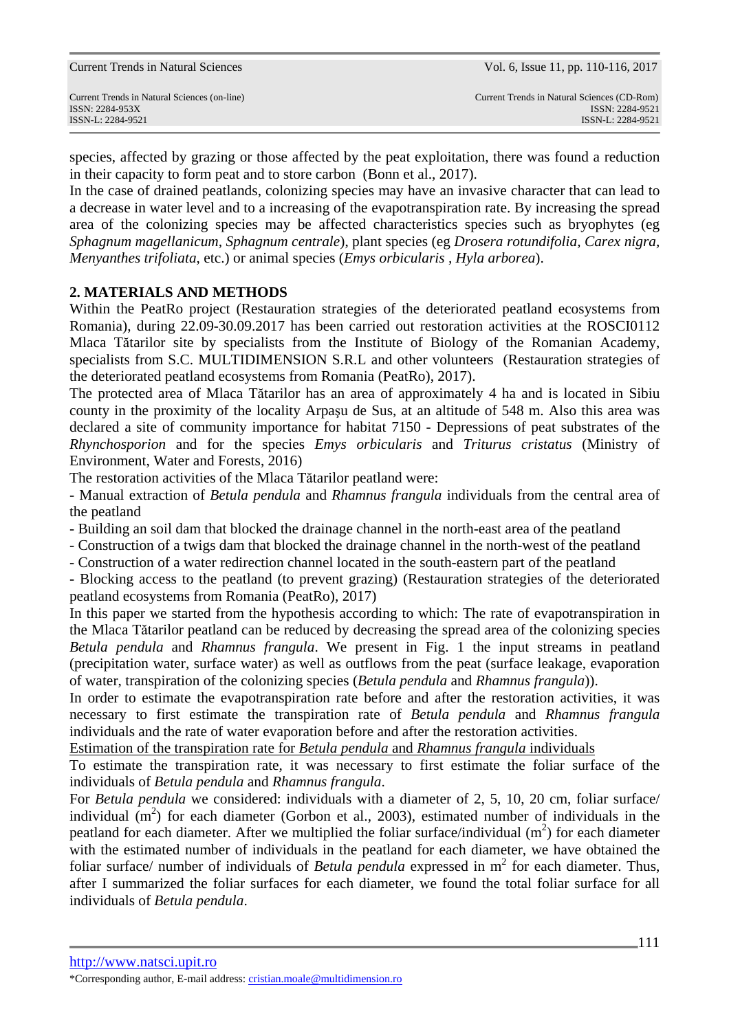species, affected by grazing or those affected by the peat exploitation, there was found a reduction in their capacity to form peat and to store carbon (Bonn et al., 2017).

In the case of drained peatlands, colonizing species may have an invasive character that can lead to a decrease in water level and to a increasing of the evapotranspiration rate. By increasing the spread area of the colonizing species may be affected characteristics species such as bryophytes (eg *Sphagnum magellanicum, Sphagnum centrale*), plant species (eg *Drosera rotundifolia, Carex nigra, Menyanthes trifoliata*, etc.) or animal species (*Emys orbicularis , Hyla arborea*).

## **2. MATERIALS AND METHODS**

Within the PeatRo project (Restauration strategies of the deteriorated peatland ecosystems from Romania), during 22.09-30.09.2017 has been carried out restoration activities at the ROSCI0112 Mlaca Tătarilor site by specialists from the Institute of Biology of the Romanian Academy, specialists from S.C. MULTIDIMENSION S.R.L and other volunteers (Restauration strategies of the deteriorated peatland ecosystems from Romania (PeatRo), 2017).

The protected area of Mlaca Tătarilor has an area of approximately 4 ha and is located in Sibiu county in the proximity of the locality Arpaşu de Sus, at an altitude of 548 m. Also this area was declared a site of community importance for habitat 7150 - Depressions of peat substrates of the *Rhynchosporion* and for the species *Emys orbicularis* and *Triturus cristatus* (Ministry of Environment, Water and Forests, 2016)

The restoration activities of the Mlaca Tătarilor peatland were:

- Manual extraction of *Betula pendula* and *Rhamnus frangula* individuals from the central area of the peatland

- Building an soil dam that blocked the drainage channel in the north-east area of the peatland

- Construction of a twigs dam that blocked the drainage channel in the north-west of the peatland

- Construction of a water redirection channel located in the south-eastern part of the peatland

- Blocking access to the peatland (to prevent grazing) (Restauration strategies of the deteriorated peatland ecosystems from Romania (PeatRo), 2017)

In this paper we started from the hypothesis according to which: The rate of evapotranspiration in the Mlaca Tătarilor peatland can be reduced by decreasing the spread area of the colonizing species *Betula pendula* and *Rhamnus frangula*. We present in Fig. 1 the input streams in peatland (precipitation water, surface water) as well as outflows from the peat (surface leakage, evaporation of water, transpiration of the colonizing species (*Betula pendula* and *Rhamnus frangula*)).

In order to estimate the evapotranspiration rate before and after the restoration activities, it was necessary to first estimate the transpiration rate of *Betula pendula* and *Rhamnus frangula* individuals and the rate of water evaporation before and after the restoration activities.

Estimation of the transpiration rate for *Betula pendula* and *Rhamnus frangula* individuals

To estimate the transpiration rate, it was necessary to first estimate the foliar surface of the individuals of *Betula pendula* and *Rhamnus frangula*.

For *Betula pendula* we considered: individuals with a diameter of 2, 5, 10, 20 cm, foliar surface/ individual  $(m<sup>2</sup>)$  for each diameter (Gorbon et al., 2003), estimated number of individuals in the peatland for each diameter. After we multiplied the foliar surface/individual  $(m<sup>2</sup>)$  for each diameter with the estimated number of individuals in the peatland for each diameter, we have obtained the foliar surface/ number of individuals of *Betula pendula* expressed in  $m<sup>2</sup>$  for each diameter. Thus, after I summarized the foliar surfaces for each diameter, we found the total foliar surface for all individuals of *Betula pendula*.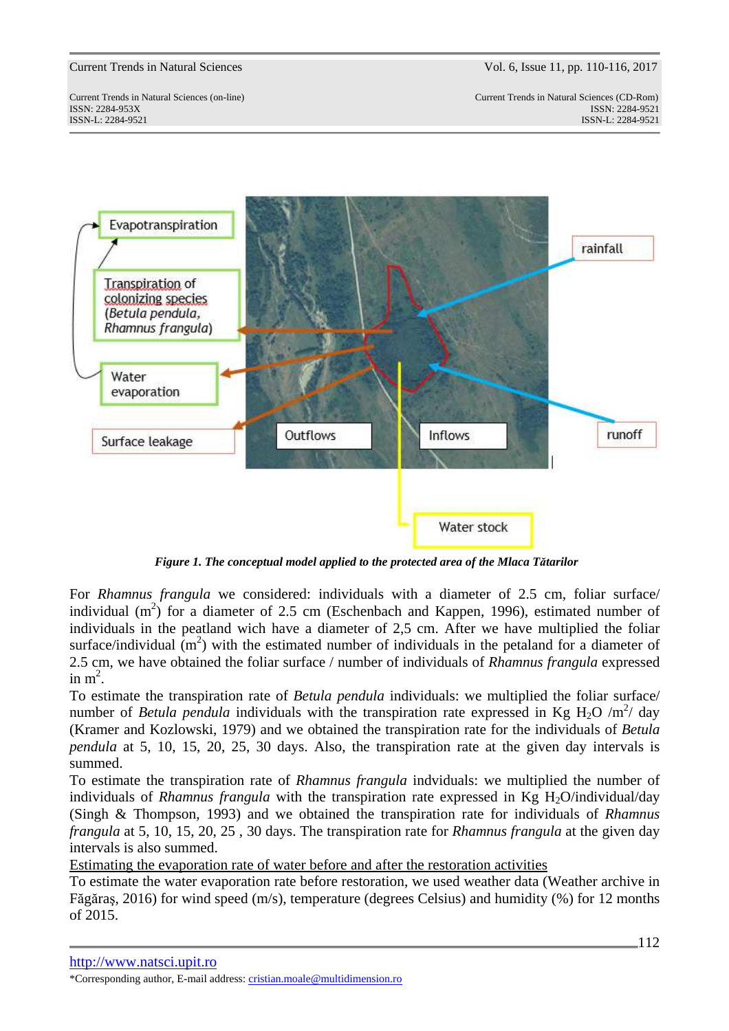Current Trends in Natural Sciences (on-line) Current Trends in Natural Sciences (CD-Rom) ISSN: 2284-953XISSN: 2284-9521 ISSN-L: 2284-9521 ISSN-L: 2284-9521



*Figure 1. The conceptual model applied to the protected area of the Mlaca Tătarilor* 

For *Rhamnus frangula* we considered: individuals with a diameter of 2.5 cm, foliar surface/ individual  $(m^2)$  for a diameter of 2.5 cm (Eschenbach and Kappen, 1996), estimated number of individuals in the peatland wich have a diameter of 2,5 cm. After we have multiplied the foliar surface/individual  $(m^2)$  with the estimated number of individuals in the petaland for a diameter of 2.5 cm, we have obtained the foliar surface / number of individuals of *Rhamnus frangula* expressed in  $m^2$ .

To estimate the transpiration rate of *Betula pendula* individuals: we multiplied the foliar surface/ number of *Betula pendula* individuals with the transpiration rate expressed in Kg H<sub>2</sub>O /m<sup>2</sup>/ day (Kramer and Kozlowski, 1979) and we obtained the transpiration rate for the individuals of *Betula pendula* at 5, 10, 15, 20, 25, 30 days. Also, the transpiration rate at the given day intervals is summed.

To estimate the transpiration rate of *Rhamnus frangula* indviduals: we multiplied the number of individuals of *Rhamnus frangula* with the transpiration rate expressed in Kg H<sub>2</sub>O/individual/day (Singh & Thompson, 1993) and we obtained the transpiration rate for individuals of *Rhamnus frangula* at 5, 10, 15, 20, 25 , 30 days. The transpiration rate for *Rhamnus frangula* at the given day intervals is also summed.

Estimating the evaporation rate of water before and after the restoration activities

To estimate the water evaporation rate before restoration, we used weather data (Weather archive in Făgăraş, 2016) for wind speed (m/s), temperature (degrees Celsius) and humidity (%) for 12 months of 2015.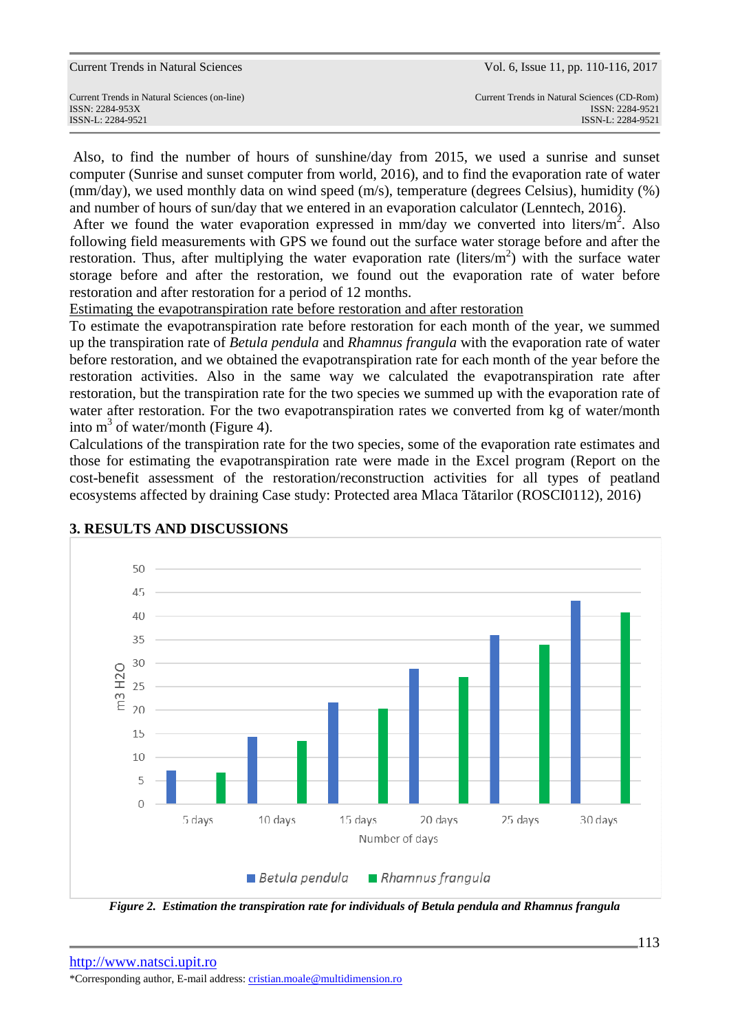Also, to find the number of hours of sunshine/day from 2015, we used a sunrise and sunset computer (Sunrise and sunset computer from world, 2016), and to find the evaporation rate of water (mm/day), we used monthly data on wind speed (m/s), temperature (degrees Celsius), humidity (%) and number of hours of sun/day that we entered in an evaporation calculator (Lenntech, 2016).

After we found the water evaporation expressed in  $mm/day$  we converted into liters/ $m^2$ . Also following field measurements with GPS we found out the surface water storage before and after the restoration. Thus, after multiplying the water evaporation rate (liters/ $m<sup>2</sup>$ ) with the surface water storage before and after the restoration, we found out the evaporation rate of water before restoration and after restoration for a period of 12 months.

Estimating the evapotranspiration rate before restoration and after restoration

To estimate the evapotranspiration rate before restoration for each month of the year, we summed up the transpiration rate of *Betula pendula* and *Rhamnus frangula* with the evaporation rate of water before restoration, and we obtained the evapotranspiration rate for each month of the year before the restoration activities. Also in the same way we calculated the evapotranspiration rate after restoration, but the transpiration rate for the two species we summed up with the evaporation rate of water after restoration. For the two evapotranspiration rates we converted from kg of water/month into  $m^3$  of water/month (Figure 4).

Calculations of the transpiration rate for the two species, some of the evaporation rate estimates and those for estimating the evapotranspiration rate were made in the Excel program (Report on the cost-benefit assessment of the restoration/reconstruction activities for all types of peatland ecosystems affected by draining Case study: Protected area Mlaca Tătarilor (ROSCI0112), 2016)



# **3. RESULTS AND DISCUSSIONS**

*Figure 2. Estimation the transpiration rate for individuals of Betula pendula and Rhamnus frangula*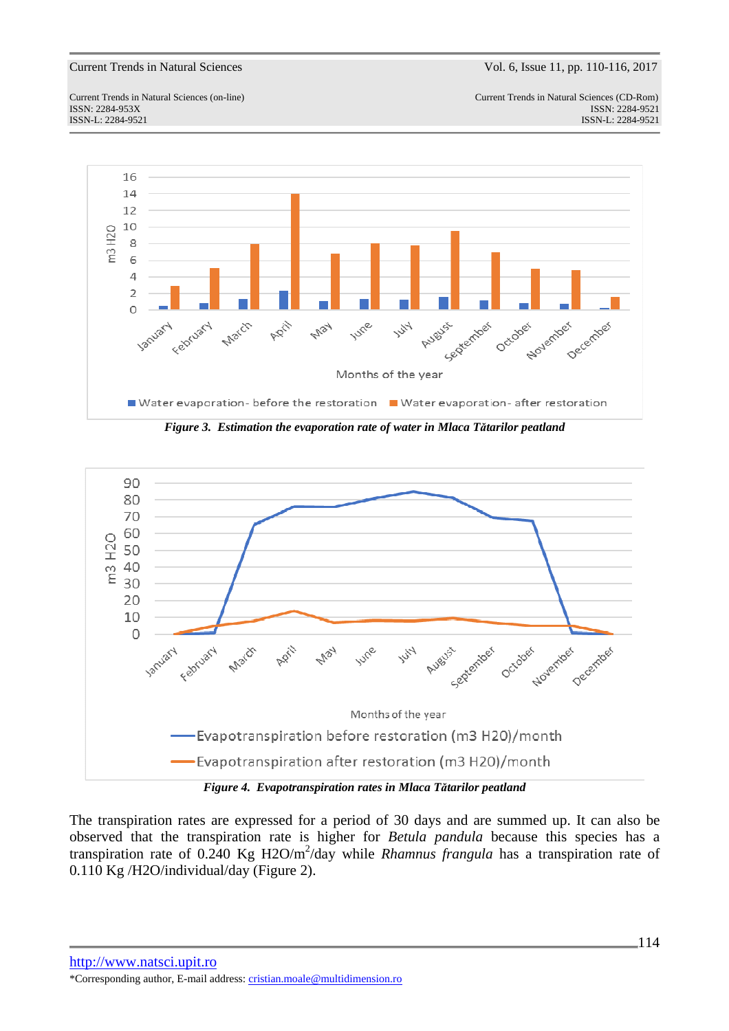Current Trends in Natural Sciences (on-line) Current Trends in Natural Sciences (CD-Rom) ISSN: 2284-953XISSN: 2284-9521 ISSN-L: 2284-9521 ISSN-L: 2284-9521





*Figure 4. Evapotranspiration rates in Mlaca Tătarilor peatland* 

The transpiration rates are expressed for a period of 30 days and are summed up. It can also be observed that the transpiration rate is higher for *Betula pandula* because this species has a transpiration rate of 0.240 Kg H2O/m<sup>2</sup>/day while *Rhamnus frangula* has a transpiration rate of 0.110 Kg /H2O/individual/day (Figure 2).

http://www.natsci.upit.ro \*Corresponding author, E-mail address: cristian.moale@multidimension.ro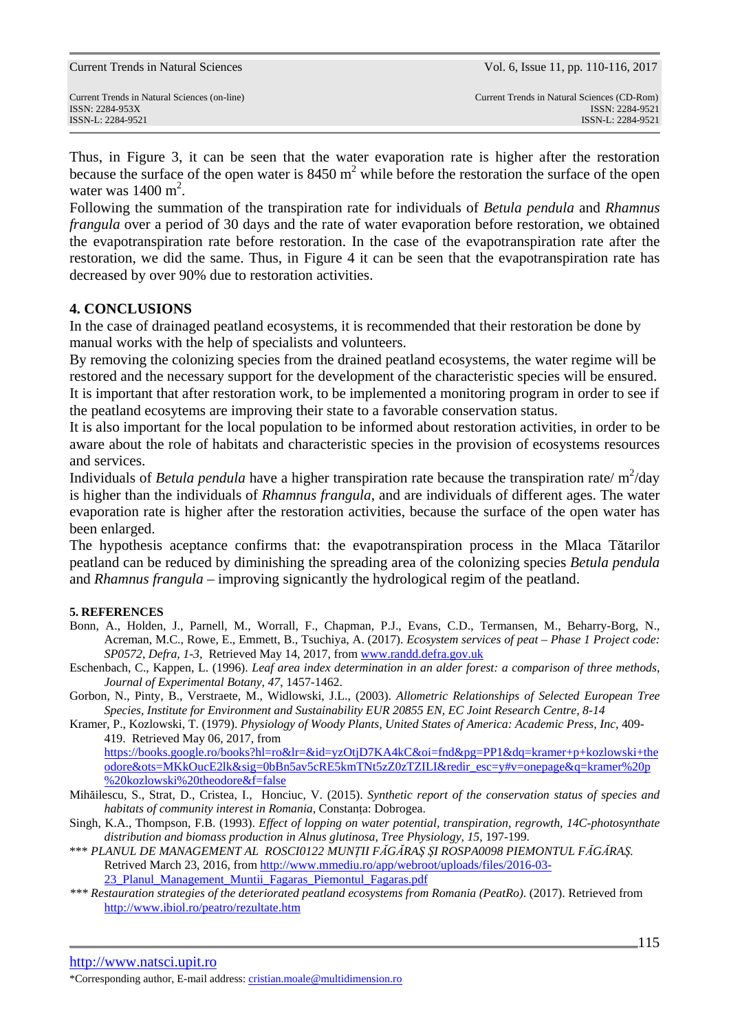Current Trends in Natural Sciences (on-line) Current Trends in Natural Sciences (CD-Rom)

Thus, in Figure 3, it can be seen that the water evaporation rate is higher after the restoration because the surface of the open water is  $8450 \text{ m}^2$  while before the restoration the surface of the open water was  $1400 \text{ m}^2$ .

Following the summation of the transpiration rate for individuals of *Betula pendula* and *Rhamnus frangula* over a period of 30 days and the rate of water evaporation before restoration, we obtained the evapotranspiration rate before restoration. In the case of the evapotranspiration rate after the restoration, we did the same. Thus, in Figure 4 it can be seen that the evapotranspiration rate has decreased by over 90% due to restoration activities.

## **4. CONCLUSIONS**

In the case of drainaged peatland ecosystems, it is recommended that their restoration be done by manual works with the help of specialists and volunteers.

By removing the colonizing species from the drained peatland ecosystems, the water regime will be restored and the necessary support for the development of the characteristic species will be ensured. It is important that after restoration work, to be implemented a monitoring program in order to see if

the peatland ecosytems are improving their state to a favorable conservation status.

It is also important for the local population to be informed about restoration activities, in order to be aware about the role of habitats and characteristic species in the provision of ecosystems resources and services.

Individuals of *Betula pendula* have a higher transpiration rate because the transpiration rate/ $m^2/day$ is higher than the individuals of *Rhamnus frangula*, and are individuals of different ages. The water evaporation rate is higher after the restoration activities, because the surface of the open water has been enlarged.

The hypothesis aceptance confirms that: the evapotranspiration process in the Mlaca Tătarilor peatland can be reduced by diminishing the spreading area of the colonizing species *Betula pendula* and *Rhamnus frangula –* improving signicantly the hydrological regim of the peatland.

### **5. REFERENCES**

- Bonn, A., Holden, J., Parnell, M., Worrall, F., Chapman, P.J., Evans, C.D., Termansen, M., Beharry-Borg, N., Acreman, M.C., Rowe, E., Emmett, B., Tsuchiya, A. (2017). *Ecosystem services of peat – Phase 1 Project code: SP0572*, *Defra, 1-3,* Retrieved May 14, 2017, from www.randd.defra.gov.uk
- Eschenbach, C., Kappen, L. (1996). *Leaf area index determination in an alder forest: a comparison of three methods*, *Journal of Experimental Botany, 47*, 1457-1462.
- Gorbon, N., Pinty, B., Verstraete, M., Widlowski, J.L., (2003). *Allometric Relationships of Selected European Tree Species, Institute for Environment and Sustainability EUR 20855 EN, EC Joint Research Centre, 8-14*
- Kramer, P., Kozlowski, T. (1979). *Physiology of Woody Plants, United States of America: Academic Press, Inc,* 409- 419. Retrieved May 06, 2017, from https://books.google.ro/books?hl=ro&lr=&id=yzOtjD7KA4kC&oi=fnd&pg=PP1&dq=kramer+p+kozlowski+the odore&ots=MKkOucE2lk&sig=0bBn5av5cRE5kmTNt5zZ0zTZILI&redir\_esc=y#v=onepage&q=kramer%20p
- %20kozlowski%20theodore&f=false Mihăilescu, S., Strat, D., Cristea, I., Honciuc, V. (2015). *Synthetic report of the conservation status of species and habitats of community interest in Romania,* Constanţa: Dobrogea.
- Singh, K.A., Thompson, F.B. (1993). *Effect of lopping on water potential, transpiration, regrowth, 14C-photosynthate distribution and biomass production in Alnus glutinosa*, *Tree Physiology, 15*, 197-199.
- \*\*\* *PLANUL DE MANAGEMENT AL ROSCI0122 MUNŢII FĂGĂRAŞ ŞI ROSPA0098 PIEMONTUL FĂGĂRAŞ.*  Retrived March 23, 2016, from http://www.mmediu.ro/app/webroot/uploads/files/2016-03-
	- 23\_Planul\_Management\_Muntii\_Fagaras\_Piemontul\_Fagaras.pdf
- *\*\*\* Restauration strategies of the deteriorated peatland ecosystems from Romania (PeatRo)*. (2017). Retrieved from http://www.ibiol.ro/peatro/rezultate.htm

<sup>\*</sup>Corresponding author, E-mail address: cristian.moale@multidimension.ro